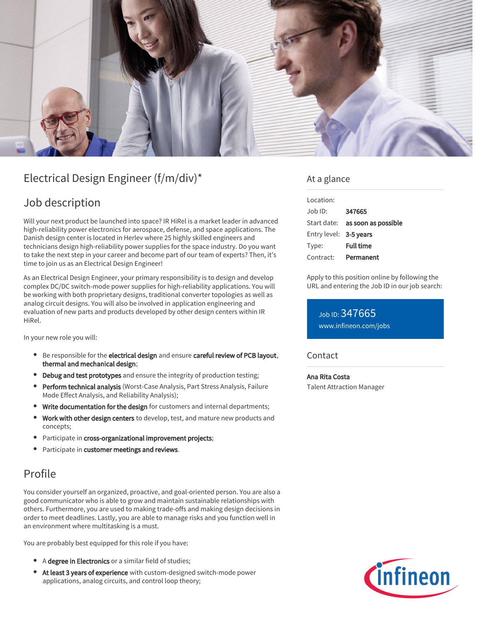

# Electrical Design Engineer (f/m/div)\*

## Job description

Will your next product be launched into space? IR HiRel is a market leader in advanced high-reliability power electronics for aerospace, defense, and space applications. The Danish design center is located in Herlev where 25 highly skilled engineers and technicians design high-reliability power supplies for the space industry. Do you want to take the next step in your career and become part of our team of experts? Then, it's time to join us as an Electrical Design Engineer!

As an Electrical Design Engineer, your primary responsibility is to design and develop complex DC/DC switch-mode power supplies for high-reliability applications. You will be working with both proprietary designs, traditional converter topologies as well as analog circuit designs. You will also be involved in application engineering and evaluation of new parts and products developed by other design centers within IR HiRel.

In your new role you will:

- Be responsible for the electrical design and ensure careful review of PCB layout, thermal and mechanical design;
- Debug and test prototypes and ensure the integrity of production testing;
- **Perform technical analysis** (Worst-Case Analysis, Part Stress Analysis, Failure Mode Effect Analysis, and Reliability Analysis);
- Write documentation for the design for customers and internal departments;
- Work with other design centers to develop, test, and mature new products and concepts;
- Participate in cross-organizational improvement projects;
- Participate in customer meetings and reviews.

## Profile

You consider yourself an organized, proactive, and goal-oriented person. You are also a good communicator who is able to grow and maintain sustainable relationships with others. Furthermore, you are used to making trade-offs and making design decisions in order to meet deadlines. Lastly, you are able to manage risks and you function well in an environment where multitasking is a must.

You are probably best equipped for this role if you have:

- A degree in Electronics or a similar field of studies;
- At least 3 years of experience with custom-designed switch-mode power applications, analog circuits, and control loop theory;

### At a glance

| Location:              |                                 |
|------------------------|---------------------------------|
| $Job$ ID:              | 347665                          |
|                        | Start date: as soon as possible |
| Entry level: 3-5 years |                                 |
| Type:                  | Full time                       |
| Contract:              | Permanent                       |

Apply to this position online by following the URL and entering the Job ID in our job search:

Job ID: 347665 [www.infineon.com/jobs](https://www.infineon.com/jobs)

### **Contact**

Ana Rita Costa Talent Attraction Manager